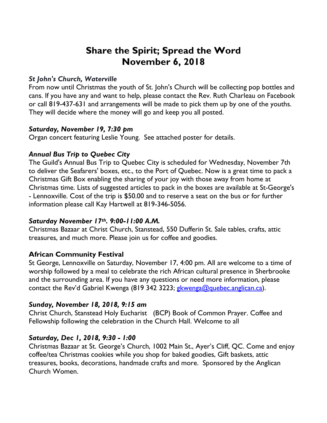# **Share the Spirit; Spread the Word November 6, 2018**

## *St John's Church, Waterville*

From now until Christmas the youth of St. John's Church will be collecting pop bottles and cans. If you have any and want to help, please contact the Rev. Ruth Charleau on Facebook or call 819-437-631 and arrangements will be made to pick them up by one of the youths. They will decide where the money will go and keep you all posted.

## *Saturday, November 19, 7:30 pm*

Organ concert featuring Leslie Young. See attached poster for details.

## *Annual Bus Trip to Quebec City*

The Guild's Annual Bus Trip to Quebec City is scheduled for Wednesday, November 7th to deliver the Seafarers' boxes, etc., to the Port of Quebec. Now is a great time to pack a Christmas Gift Box enabling the sharing of your joy with those away from home at Christmas time. Lists of suggested articles to pack in the boxes are available at St-George's - Lennoxville. Cost of the trip is \$50.00 and to reserve a seat on the bus or for further information please call Kay Hartwell at 819-346-5056.

## *Saturday November 17th. 9:00-11:00 A.M.*

Christmas Bazaar at Christ Church, Stanstead, 550 Dufferin St. Sale tables, crafts, attic treasures, and much more. Please join us for coffee and goodies.

# **African Community Festival**

St George, Lennoxville on Saturday, November 17, 4:00 pm. All are welcome to a time of worship followed by a meal to celebrate the rich African cultural presence in Sherbrooke and the surrounding area. If you have any questions or need more information, please contact the Rev'd Gabriel Kwenga (819 342 3223; gkwenga@quebec.anglican.ca).

## *Sunday, November 18, 2018, 9:15 am*

Christ Church, Stanstead Holy Eucharist (BCP) Book of Common Prayer. Coffee and Fellowship following the celebration in the Church Hall. Welcome to all

# *Saturday, Dec 1, 2018, 9:30 - 1:00*

Christmas Bazaar at St. George's Church, 1002 Main St., Ayer's Cliff, QC. Come and enjoy coffee/tea Christmas cookies while you shop for baked goodies, Gift baskets, attic treasures, books, decorations, handmade crafts and more. Sponsored by the Anglican Church Women.